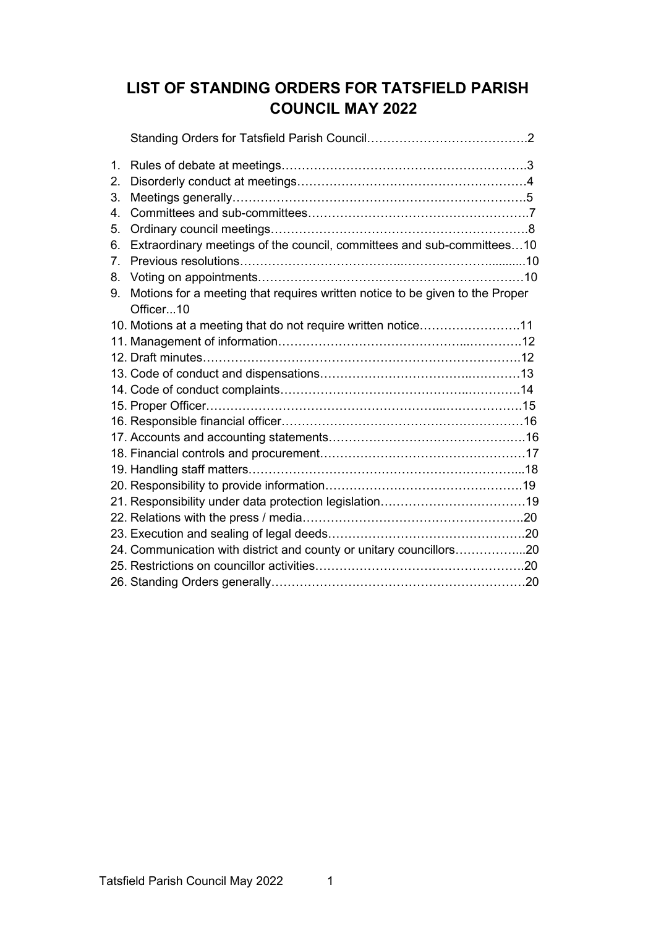# **LIST OF STANDING ORDERS FOR TATSFIELD PARISH COUNCIL MAY 2022**

| $\mathbf{1}$ .                  |                                                                              |  |
|---------------------------------|------------------------------------------------------------------------------|--|
| 2.                              |                                                                              |  |
| 3.                              |                                                                              |  |
| $4_{\scriptscriptstyle{\perp}}$ |                                                                              |  |
| 5.                              |                                                                              |  |
| 6.                              | Extraordinary meetings of the council, committees and sub-committees10       |  |
| 7 <sub>1</sub>                  |                                                                              |  |
| 8.                              |                                                                              |  |
| 9.                              | Motions for a meeting that requires written notice to be given to the Proper |  |
|                                 | Officer10                                                                    |  |
|                                 | 10. Motions at a meeting that do not require written notice11                |  |
|                                 |                                                                              |  |
|                                 |                                                                              |  |
|                                 |                                                                              |  |
|                                 |                                                                              |  |
|                                 |                                                                              |  |
|                                 |                                                                              |  |
|                                 |                                                                              |  |
|                                 |                                                                              |  |
|                                 |                                                                              |  |
|                                 |                                                                              |  |
|                                 |                                                                              |  |
|                                 |                                                                              |  |
|                                 |                                                                              |  |
|                                 | 24. Communication with district and county or unitary councillors20          |  |
|                                 |                                                                              |  |
|                                 |                                                                              |  |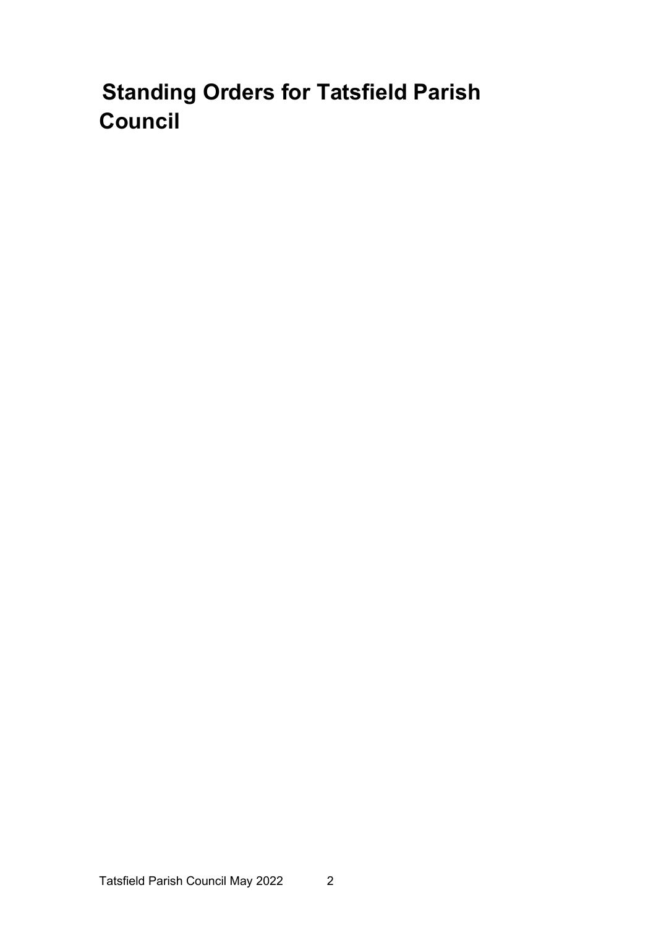# **Standing Orders for Tatsfield Parish Council**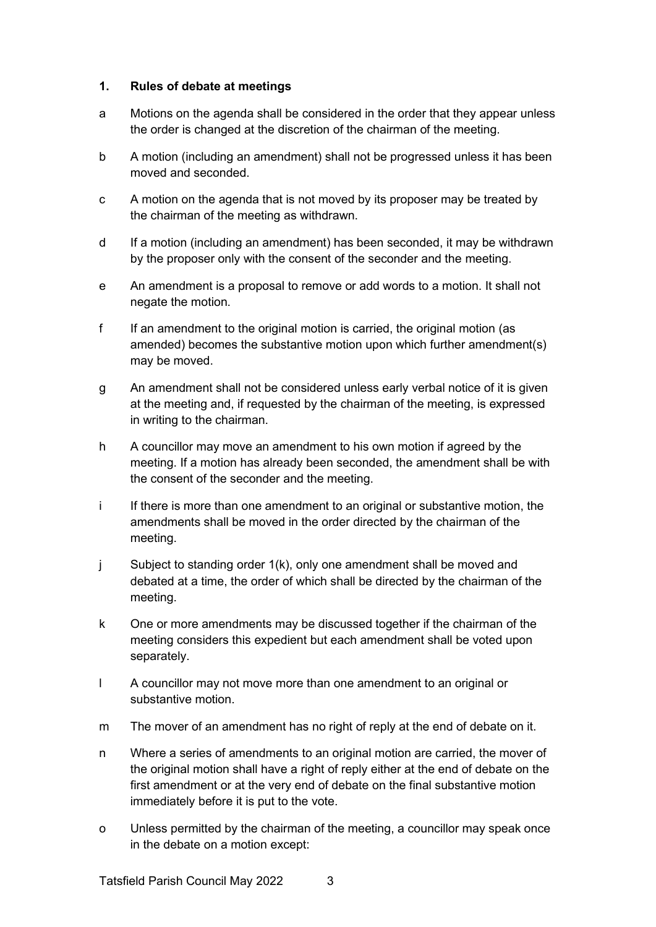#### **1. Rules of debate at meetings**

- a Motions on the agenda shall be considered in the order that they appear unless the order is changed at the discretion of the chairman of the meeting.
- b A motion (including an amendment) shall not be progressed unless it has been moved and seconded.
- c A motion on the agenda that is not moved by its proposer may be treated by the chairman of the meeting as withdrawn.
- d If a motion (including an amendment) has been seconded, it may be withdrawn by the proposer only with the consent of the seconder and the meeting.
- e An amendment is a proposal to remove or add words to a motion. It shall not negate the motion.
- f If an amendment to the original motion is carried, the original motion (as amended) becomes the substantive motion upon which further amendment(s) may be moved.
- g An amendment shall not be considered unless early verbal notice of it is given at the meeting and, if requested by the chairman of the meeting, is expressed in writing to the chairman.
- h A councillor may move an amendment to his own motion if agreed by the meeting. If a motion has already been seconded, the amendment shall be with the consent of the seconder and the meeting.
- i If there is more than one amendment to an original or substantive motion, the amendments shall be moved in the order directed by the chairman of the meeting.
- j Subject to standing order 1(k), only one amendment shall be moved and debated at a time, the order of which shall be directed by the chairman of the meeting.
- k One or more amendments may be discussed together if the chairman of the meeting considers this expedient but each amendment shall be voted upon separately.
- l A councillor may not move more than one amendment to an original or substantive motion.
- m The mover of an amendment has no right of reply at the end of debate on it.
- n Where a series of amendments to an original motion are carried, the mover of the original motion shall have a right of reply either at the end of debate on the first amendment or at the very end of debate on the final substantive motion immediately before it is put to the vote.
- o Unless permitted by the chairman of the meeting, a councillor may speak once in the debate on a motion except: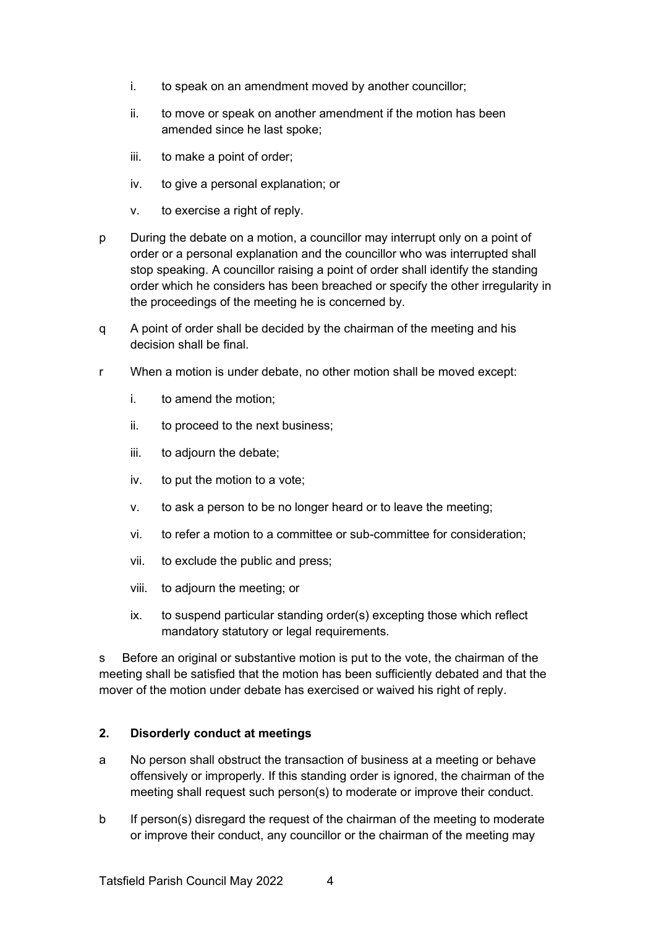- i. to speak on an amendment moved by another councillor;
- ii. to move or speak on another amendment if the motion has been amended since he last spoke;
- iii. to make a point of order;
- iv. to give a personal explanation; or
- v. to exercise a right of reply.
- p During the debate on a motion, a councillor may interrupt only on a point of order or a personal explanation and the councillor who was interrupted shall stop speaking. A councillor raising a point of order shall identify the standing order which he considers has been breached or specify the other irregularity in the proceedings of the meeting he is concerned by.
- q A point of order shall be decided by the chairman of the meeting and his decision shall be final.
- r When a motion is under debate, no other motion shall be moved except:
	- i. to amend the motion;
	- ii. to proceed to the next business;
	- iii. to adjourn the debate;
	- iv. to put the motion to a vote;
	- v. to ask a person to be no longer heard or to leave the meeting;
	- vi. to refer a motion to a committee or sub-committee for consideration;
	- vii. to exclude the public and press;
	- viii. to adjourn the meeting; or
	- ix. to suspend particular standing order(s) excepting those which reflect mandatory statutory or legal requirements.

s Before an original or substantive motion is put to the vote, the chairman of the meeting shall be satisfied that the motion has been sufficiently debated and that the mover of the motion under debate has exercised or waived his right of reply.

# **2. Disorderly conduct at meetings**

- a No person shall obstruct the transaction of business at a meeting or behave offensively or improperly. If this standing order is ignored, the chairman of the meeting shall request such person(s) to moderate or improve their conduct.
- b If person(s) disregard the request of the chairman of the meeting to moderate or improve their conduct, any councillor or the chairman of the meeting may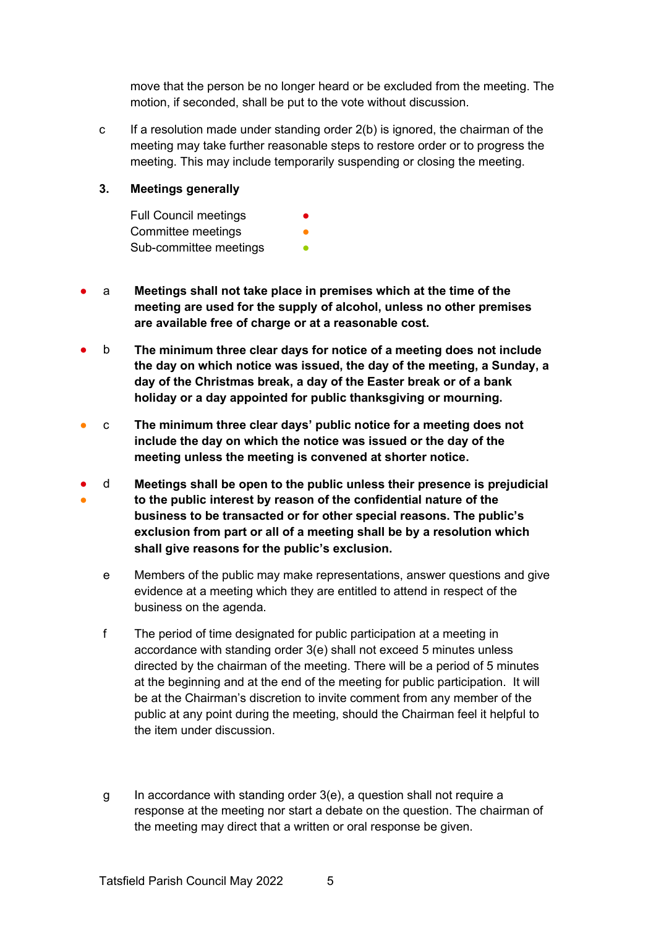move that the person be no longer heard or be excluded from the meeting. The motion, if seconded, shall be put to the vote without discussion.

c If a resolution made under standing order  $2(b)$  is ignored, the chairman of the meeting may take further reasonable steps to restore order or to progress the meeting. This may include temporarily suspending or closing the meeting.

#### **3. Meetings generally**

Full Council meetings Committee meetings Sub-committee meetings

- a **Meetings shall not take place in premises which at the time of the meeting are used for the supply of alcohol, unless no other premises are available free of charge or at a reasonable cost.**
- b **The minimum three clear days for notice of a meeting does not include the day on which notice was issued, the day of the meeting, a Sunday, a day of the Christmas break, a day of the Easter break or of a bank holiday or a day appointed for public thanksgiving or mourning.**
- c **The minimum three clear days' public notice for a meeting does not include the day on which the notice was issued or the day of the meeting unless the meeting is convened at shorter notice.**
- ● d **Meetings shall be open to the public unless their presence is prejudicial to the public interest by reason of the confidential nature of the business to be transacted or for other special reasons. The public's exclusion from part or all of a meeting shall be by a resolution which shall give reasons for the public's exclusion.**
	- e Members of the public may make representations, answer questions and give evidence at a meeting which they are entitled to attend in respect of the business on the agenda.
	- f The period of time designated for public participation at a meeting in accordance with standing order 3(e) shall not exceed 5 minutes unless directed by the chairman of the meeting. There will be a period of 5 minutes at the beginning and at the end of the meeting for public participation. It will be at the Chairman's discretion to invite comment from any member of the public at any point during the meeting, should the Chairman feel it helpful to the item under discussion.
	- g In accordance with standing order 3(e), a question shall not require a response at the meeting nor start a debate on the question. The chairman of the meeting may direct that a written or oral response be given.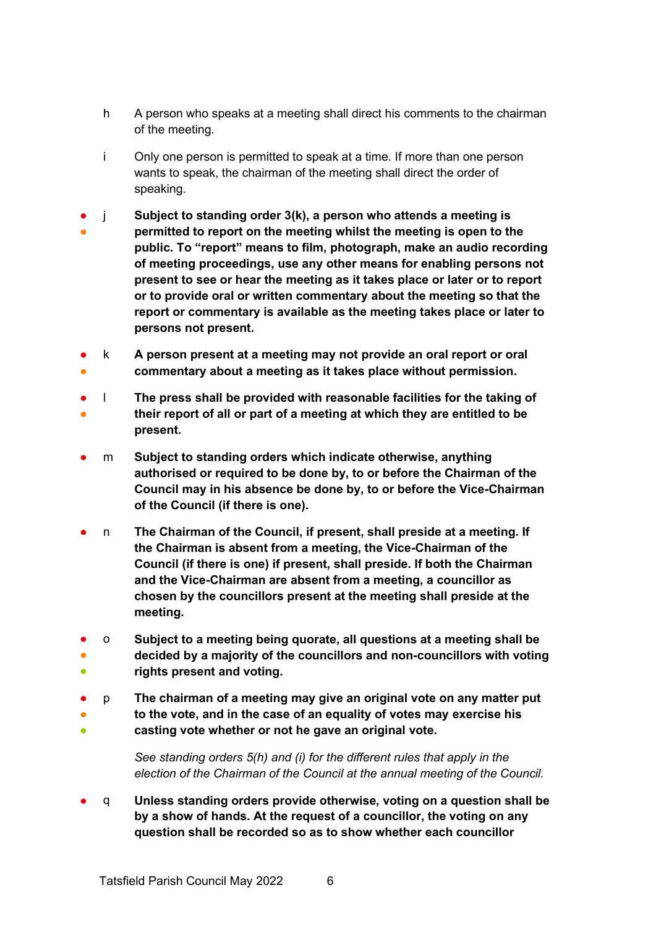- h A person who speaks at a meeting shall direct his comments to the chairman of the meeting.
- i Only one person is permitted to speak at a time. If more than one person wants to speak, the chairman of the meeting shall direct the order of speaking.
- ● j **Subject to standing order 3(k), a person who attends a meeting is permitted to report on the meeting whilst the meeting is open to the public. To "report" means to film, photograph, make an audio recording of meeting proceedings, use any other means for enabling persons not present to see or hear the meeting as it takes place or later or to report or to provide oral or written commentary about the meeting so that the report or commentary is available as the meeting takes place or later to persons not present.**
- ● k **A person present at a meeting may not provide an oral report or oral commentary about a meeting as it takes place without permission.**
- ● l **The press shall be provided with reasonable facilities for the taking of their report of all or part of a meeting at which they are entitled to be present.**
- m **Subject to standing orders which indicate otherwise, anything authorised or required to be done by, to or before the Chairman of the Council may in his absence be done by, to or before the Vice-Chairman of the Council (if there is one).**
- n **The Chairman of the Council, if present, shall preside at a meeting. If the Chairman is absent from a meeting, the Vice-Chairman of the Council (if there is one) if present, shall preside. If both the Chairman and the Vice-Chairman are absent from a meeting, a councillor as chosen by the councillors present at the meeting shall preside at the meeting.**
- o **Subject to a meeting being quorate, all questions at a meeting shall be**
- ● **decided by a majority of the councillors and non-councillors with voting rights present and voting.**
- ● p **The chairman of a meeting may give an original vote on any matter put to the vote, and in the case of an equality of votes may exercise his**
- **casting vote whether or not he gave an original vote.**
	- *See standing orders 5(h) and (i) for the different rules that apply in the election of the Chairman of the Council at the annual meeting of the Council.*
- q **Unless standing orders provide otherwise, voting on a question shall be by a show of hands. At the request of a councillor, the voting on any question shall be recorded so as to show whether each councillor**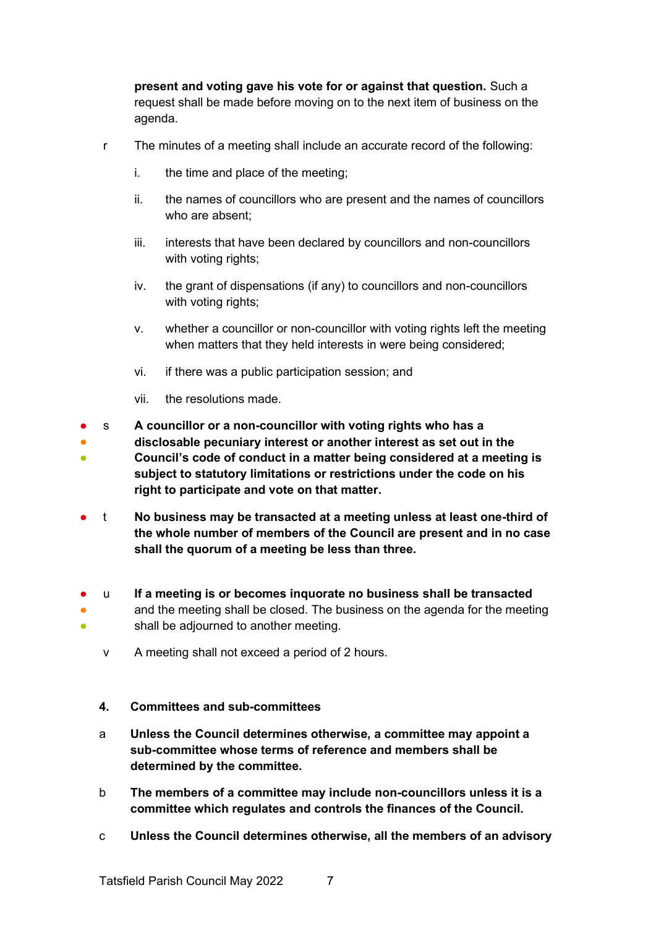**present and voting gave his vote for or against that question.** Such a request shall be made before moving on to the next item of business on the agenda.

- r The minutes of a meeting shall include an accurate record of the following:
	- i. the time and place of the meeting;
	- ii. the names of councillors who are present and the names of councillors who are absent;
	- iii. interests that have been declared by councillors and non-councillors with voting rights;
	- iv. the grant of dispensations (if any) to councillors and non-councillors with voting rights;
	- v. whether a councillor or non-councillor with voting rights left the meeting when matters that they held interests in were being considered;
	- vi. if there was a public participation session; and
	- vii. the resolutions made.
- s **A councillor or a non-councillor with voting rights who has a**
- ● **disclosable pecuniary interest or another interest as set out in the Council's code of conduct in a matter being considered at a meeting is subject to statutory limitations or restrictions under the code on his right to participate and vote on that matter.**
- t **No business may be transacted at a meeting unless at least one-third of the whole number of members of the Council are present and in no case shall the quorum of a meeting be less than three.**
- ● ● u **If a meeting is or becomes inquorate no business shall be transacted** and the meeting shall be closed. The business on the agenda for the meeting shall be adjourned to another meeting.
	- v A meeting shall not exceed a period of 2 hours.

#### **4. Committees and sub-committees**

- a **Unless the Council determines otherwise, a committee may appoint a sub-committee whose terms of reference and members shall be determined by the committee.**
- b **The members of a committee may include non-councillors unless it is a committee which regulates and controls the finances of the Council.**
- c **Unless the Council determines otherwise, all the members of an advisory**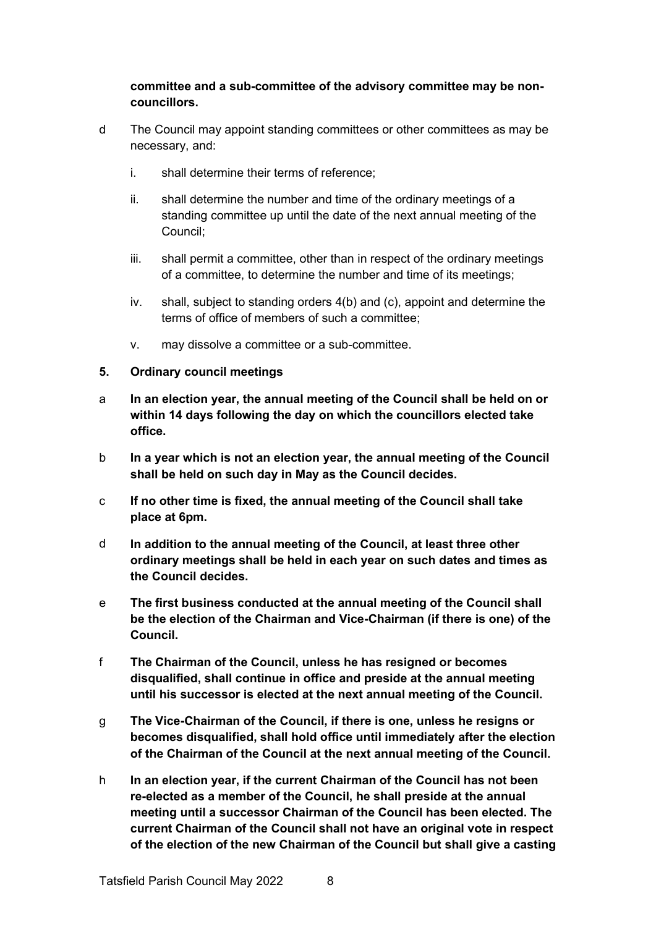# **committee and a sub-committee of the advisory committee may be noncouncillors.**

- d The Council may appoint standing committees or other committees as may be necessary, and:
	- i. shall determine their terms of reference;
	- ii. shall determine the number and time of the ordinary meetings of a standing committee up until the date of the next annual meeting of the Council;
	- iii. shall permit a committee, other than in respect of the ordinary meetings of a committee, to determine the number and time of its meetings;
	- iv. shall, subject to standing orders 4(b) and (c), appoint and determine the terms of office of members of such a committee;
	- v. may dissolve a committee or a sub-committee.

#### **5. Ordinary council meetings**

- a **In an election year, the annual meeting of the Council shall be held on or within 14 days following the day on which the councillors elected take office.**
- b **In a year which is not an election year, the annual meeting of the Council shall be held on such day in May as the Council decides.**
- c **If no other time is fixed, the annual meeting of the Council shall take place at 6pm.**
- d **In addition to the annual meeting of the Council, at least three other ordinary meetings shall be held in each year on such dates and times as the Council decides.**
- e **The first business conducted at the annual meeting of the Council shall be the election of the Chairman and Vice-Chairman (if there is one) of the Council.**
- f **The Chairman of the Council, unless he has resigned or becomes disqualified, shall continue in office and preside at the annual meeting until his successor is elected at the next annual meeting of the Council.**
- g **The Vice-Chairman of the Council, if there is one, unless he resigns or becomes disqualified, shall hold office until immediately after the election of the Chairman of the Council at the next annual meeting of the Council.**
- h **In an election year, if the current Chairman of the Council has not been re-elected as a member of the Council, he shall preside at the annual meeting until a successor Chairman of the Council has been elected. The current Chairman of the Council shall not have an original vote in respect of the election of the new Chairman of the Council but shall give a casting**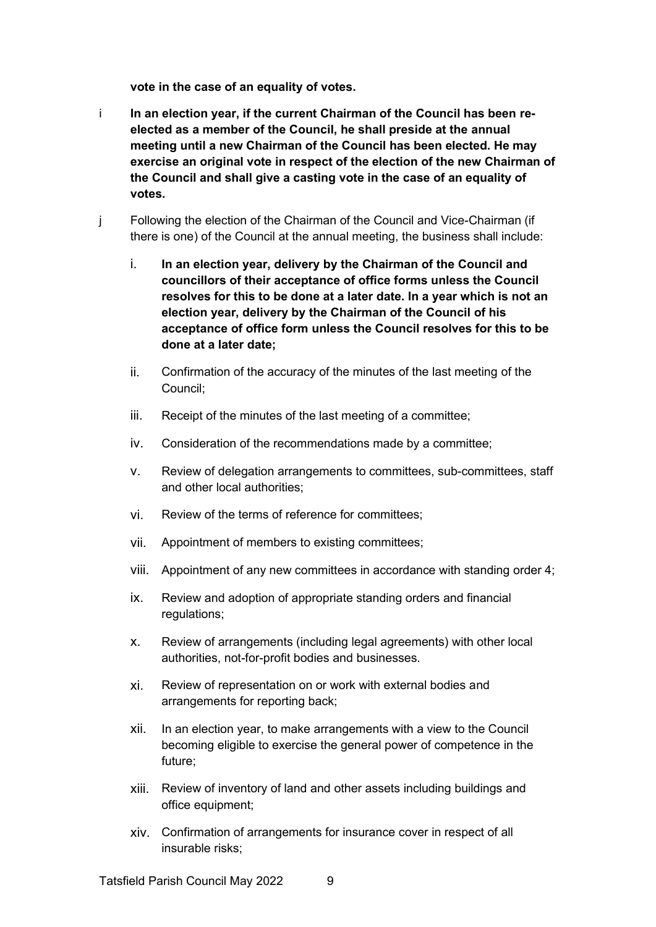**vote in the case of an equality of votes.**

- i **In an election year, if the current Chairman of the Council has been reelected as a member of the Council, he shall preside at the annual meeting until a new Chairman of the Council has been elected. He may exercise an original vote in respect of the election of the new Chairman of the Council and shall give a casting vote in the case of an equality of votes.**
- j Following the election of the Chairman of the Council and Vice-Chairman (if there is one) of the Council at the annual meeting, the business shall include:
	- i. **In an election year, delivery by the Chairman of the Council and councillors of their acceptance of office forms unless the Council resolves for this to be done at a later date. In a year which is not an election year, delivery by the Chairman of the Council of his acceptance of office form unless the Council resolves for this to be done at a later date;**
	- ii. Confirmation of the accuracy of the minutes of the last meeting of the Council;
	- iii. Receipt of the minutes of the last meeting of a committee;
	- iv. Consideration of the recommendations made by a committee;
	- v. Review of delegation arrangements to committees, sub-committees, staff and other local authorities;
	- vi. Review of the terms of reference for committees;
	- vii. Appointment of members to existing committees;
	- viii. Appointment of any new committees in accordance with standing order 4;
	- ix. Review and adoption of appropriate standing orders and financial regulations;
	- x. Review of arrangements (including legal agreements) with other local authorities, not-for-profit bodies and businesses.
	- xi. Review of representation on or work with external bodies and arrangements for reporting back;
	- xii. In an election year, to make arrangements with a view to the Council becoming eligible to exercise the general power of competence in the future;
	- xiii. Review of inventory of land and other assets including buildings and office equipment;
	- xiv. Confirmation of arrangements for insurance cover in respect of all insurable risks;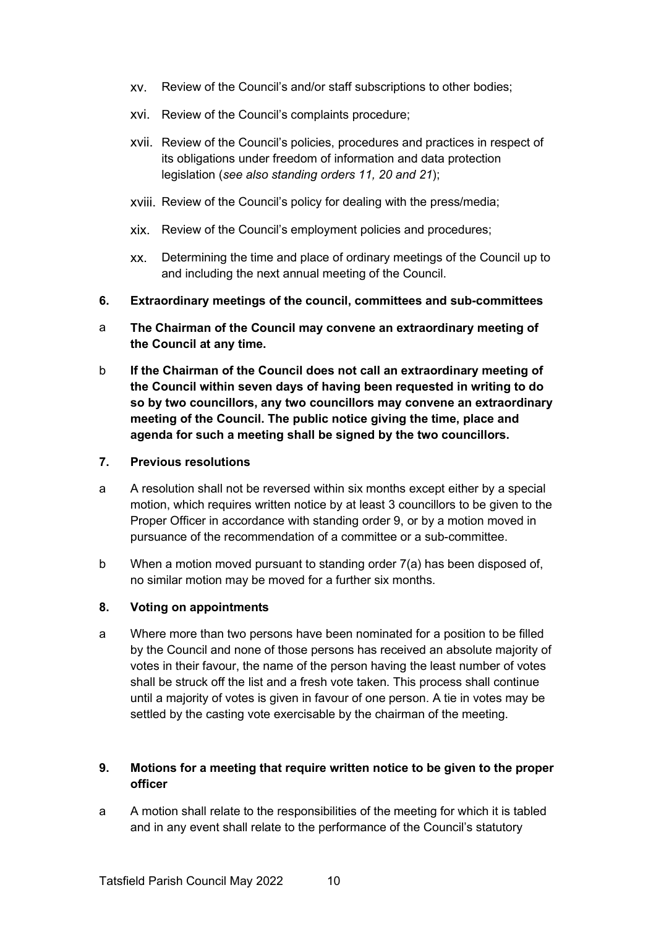- xv. Review of the Council's and/or staff subscriptions to other bodies;
- xvi. Review of the Council's complaints procedure;
- xvii. Review of the Council's policies, procedures and practices in respect of its obligations under freedom of information and data protection legislation (*see also standing orders 11, 20 and 21*);
- xviii. Review of the Council's policy for dealing with the press/media;
- xix. Review of the Council's employment policies and procedures;
- xx. Determining the time and place of ordinary meetings of the Council up to and including the next annual meeting of the Council.
- **6. Extraordinary meetings of the council, committees and sub-committees**
- a **The Chairman of the Council may convene an extraordinary meeting of the Council at any time.**
- b **If the Chairman of the Council does not call an extraordinary meeting of the Council within seven days of having been requested in writing to do so by two councillors, any two councillors may convene an extraordinary meeting of the Council. The public notice giving the time, place and agenda for such a meeting shall be signed by the two councillors.**
- **7. Previous resolutions**
- a A resolution shall not be reversed within six months except either by a special motion, which requires written notice by at least 3 councillors to be given to the Proper Officer in accordance with standing order 9, or by a motion moved in pursuance of the recommendation of a committee or a sub-committee.
- b When a motion moved pursuant to standing order 7(a) has been disposed of, no similar motion may be moved for a further six months.
- **8. Voting on appointments**
- a Where more than two persons have been nominated for a position to be filled by the Council and none of those persons has received an absolute majority of votes in their favour, the name of the person having the least number of votes shall be struck off the list and a fresh vote taken. This process shall continue until a majority of votes is given in favour of one person. A tie in votes may be settled by the casting vote exercisable by the chairman of the meeting.

#### **9. Motions for a meeting that require written notice to be given to the proper officer**

a A motion shall relate to the responsibilities of the meeting for which it is tabled and in any event shall relate to the performance of the Council's statutory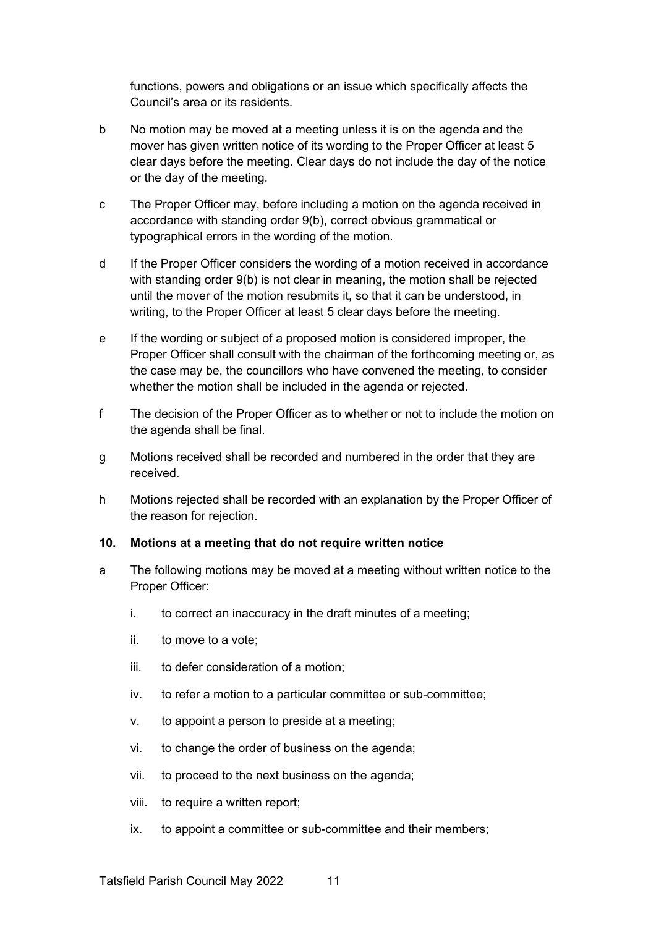functions, powers and obligations or an issue which specifically affects the Council's area or its residents.

- b No motion may be moved at a meeting unless it is on the agenda and the mover has given written notice of its wording to the Proper Officer at least 5 clear days before the meeting. Clear days do not include the day of the notice or the day of the meeting.
- c The Proper Officer may, before including a motion on the agenda received in accordance with standing order 9(b), correct obvious grammatical or typographical errors in the wording of the motion.
- d If the Proper Officer considers the wording of a motion received in accordance with standing order 9(b) is not clear in meaning, the motion shall be rejected until the mover of the motion resubmits it, so that it can be understood, in writing, to the Proper Officer at least 5 clear days before the meeting.
- e If the wording or subject of a proposed motion is considered improper, the Proper Officer shall consult with the chairman of the forthcoming meeting or, as the case may be, the councillors who have convened the meeting, to consider whether the motion shall be included in the agenda or rejected.
- f The decision of the Proper Officer as to whether or not to include the motion on the agenda shall be final.
- g Motions received shall be recorded and numbered in the order that they are received.
- h Motions rejected shall be recorded with an explanation by the Proper Officer of the reason for rejection.

#### **10. Motions at a meeting that do not require written notice**

- a The following motions may be moved at a meeting without written notice to the Proper Officer:
	- i. to correct an inaccuracy in the draft minutes of a meeting;
	- ii. to move to a vote;
	- iii. to defer consideration of a motion;
	- iv. to refer a motion to a particular committee or sub-committee;
	- v. to appoint a person to preside at a meeting;
	- vi. to change the order of business on the agenda;
	- vii. to proceed to the next business on the agenda;
	- viii. to require a written report;
	- ix. to appoint a committee or sub-committee and their members;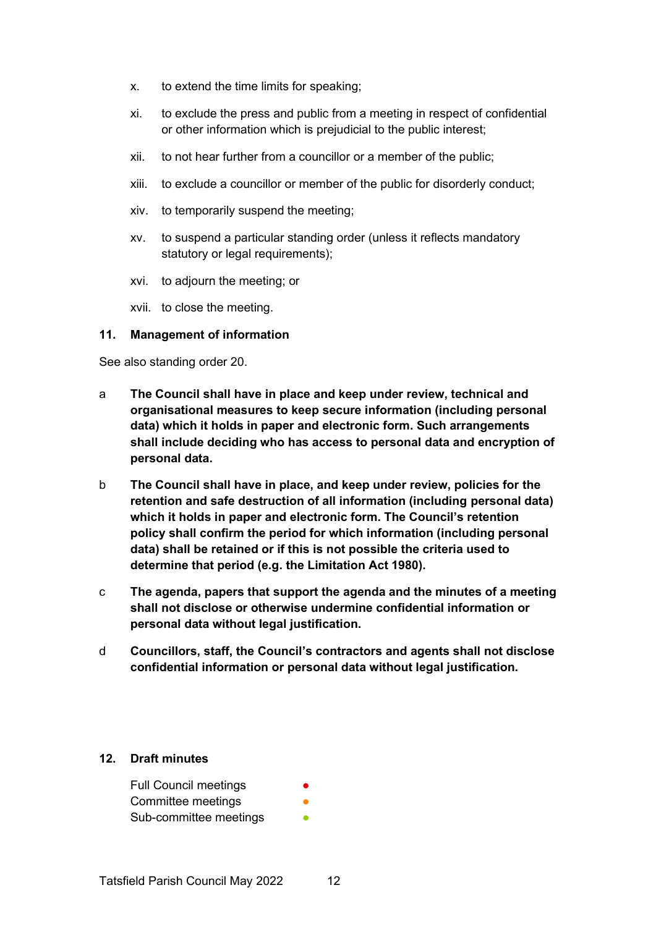- x. to extend the time limits for speaking;
- xi. to exclude the press and public from a meeting in respect of confidential or other information which is prejudicial to the public interest;
- xii. to not hear further from a councillor or a member of the public;
- xiii. to exclude a councillor or member of the public for disorderly conduct;
- xiv. to temporarily suspend the meeting;
- xv. to suspend a particular standing order (unless it reflects mandatory statutory or legal requirements);
- xvi. to adjourn the meeting; or
- xvii. to close the meeting.

#### **11. Management of information**

See also standing order 20.

- a **The Council shall have in place and keep under review, technical and organisational measures to keep secure information (including personal data) which it holds in paper and electronic form. Such arrangements shall include deciding who has access to personal data and encryption of personal data.**
- b **The Council shall have in place, and keep under review, policies for the retention and safe destruction of all information (including personal data) which it holds in paper and electronic form. The Council's retention policy shall confirm the period for which information (including personal data) shall be retained or if this is not possible the criteria used to determine that period (e.g. the Limitation Act 1980).**
- c **The agenda, papers that support the agenda and the minutes of a meeting shall not disclose or otherwise undermine confidential information or personal data without legal justification.**
- d **Councillors, staff, the Council's contractors and agents shall not disclose confidential information or personal data without legal justification.**

#### **12. Draft minutes**

| <b>Full Council meetings</b> |  |
|------------------------------|--|
| Committee meetings           |  |
| Sub-committee meetings       |  |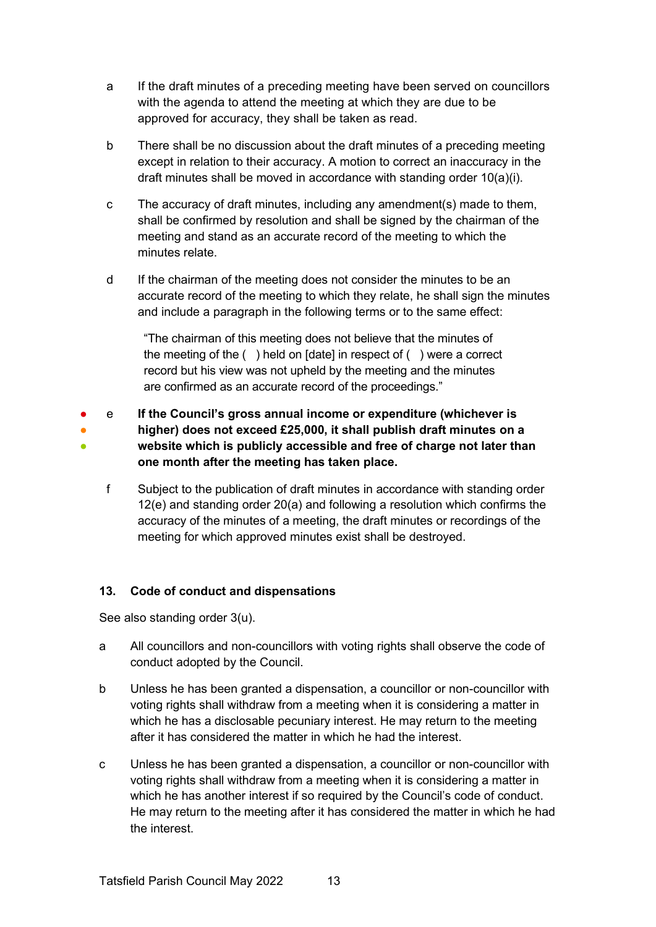- a If the draft minutes of a preceding meeting have been served on councillors with the agenda to attend the meeting at which they are due to be approved for accuracy, they shall be taken as read.
- b There shall be no discussion about the draft minutes of a preceding meeting except in relation to their accuracy. A motion to correct an inaccuracy in the draft minutes shall be moved in accordance with standing order 10(a)(i).
- c The accuracy of draft minutes, including any amendment(s) made to them, shall be confirmed by resolution and shall be signed by the chairman of the meeting and stand as an accurate record of the meeting to which the minutes relate.
- d If the chairman of the meeting does not consider the minutes to be an accurate record of the meeting to which they relate, he shall sign the minutes and include a paragraph in the following terms or to the same effect:

"The chairman of this meeting does not believe that the minutes of the meeting of the ( ) held on [date] in respect of ( ) were a correct record but his view was not upheld by the meeting and the minutes are confirmed as an accurate record of the proceedings."

- ● ● e **If the Council's gross annual income or expenditure (whichever is higher) does not exceed £25,000, it shall publish draft minutes on a website which is publicly accessible and free of charge not later than one month after the meeting has taken place.**
	- f Subject to the publication of draft minutes in accordance with standing order 12(e) and standing order 20(a) and following a resolution which confirms the accuracy of the minutes of a meeting, the draft minutes or recordings of the meeting for which approved minutes exist shall be destroyed.

# **13. Code of conduct and dispensations**

See also standing order 3(u).

- a All councillors and non-councillors with voting rights shall observe the code of conduct adopted by the Council.
- b Unless he has been granted a dispensation, a councillor or non-councillor with voting rights shall withdraw from a meeting when it is considering a matter in which he has a disclosable pecuniary interest. He may return to the meeting after it has considered the matter in which he had the interest.
- c Unless he has been granted a dispensation, a councillor or non-councillor with voting rights shall withdraw from a meeting when it is considering a matter in which he has another interest if so required by the Council's code of conduct. He may return to the meeting after it has considered the matter in which he had the interest.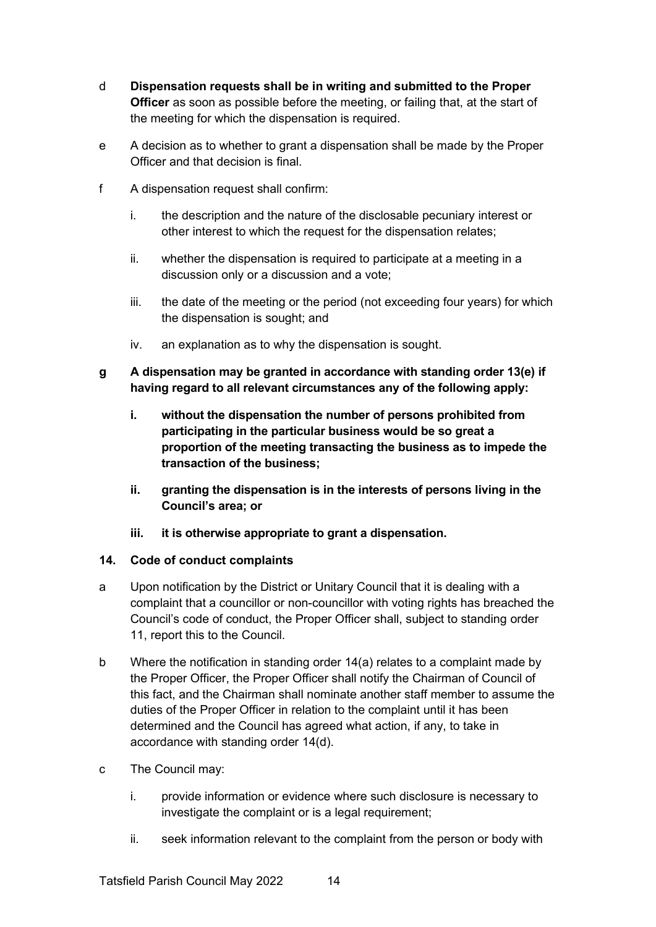- d **Dispensation requests shall be in writing and submitted to the Proper Officer** as soon as possible before the meeting, or failing that, at the start of the meeting for which the dispensation is required.
- e A decision as to whether to grant a dispensation shall be made by the Proper Officer and that decision is final.
- f A dispensation request shall confirm:
	- i. the description and the nature of the disclosable pecuniary interest or other interest to which the request for the dispensation relates;
	- ii. whether the dispensation is required to participate at a meeting in a discussion only or a discussion and a vote;
	- iii. the date of the meeting or the period (not exceeding four years) for which the dispensation is sought; and
	- iv. an explanation as to why the dispensation is sought.
- **g A dispensation may be granted in accordance with standing order 13(e) if having regard to all relevant circumstances any of the following apply:**
	- **i. without the dispensation the number of persons prohibited from participating in the particular business would be so great a proportion of the meeting transacting the business as to impede the transaction of the business;**
	- **ii. granting the dispensation is in the interests of persons living in the Council's area; or**
	- **iii. it is otherwise appropriate to grant a dispensation.**

#### **14. Code of conduct complaints**

- a Upon notification by the District or Unitary Council that it is dealing with a complaint that a councillor or non-councillor with voting rights has breached the Council's code of conduct, the Proper Officer shall, subject to standing order 11, report this to the Council.
- b Where the notification in standing order 14(a) relates to a complaint made by the Proper Officer, the Proper Officer shall notify the Chairman of Council of this fact, and the Chairman shall nominate another staff member to assume the duties of the Proper Officer in relation to the complaint until it has been determined and the Council has agreed what action, if any, to take in accordance with standing order 14(d).
- c The Council may:
	- i. provide information or evidence where such disclosure is necessary to investigate the complaint or is a legal requirement;
	- ii. seek information relevant to the complaint from the person or body with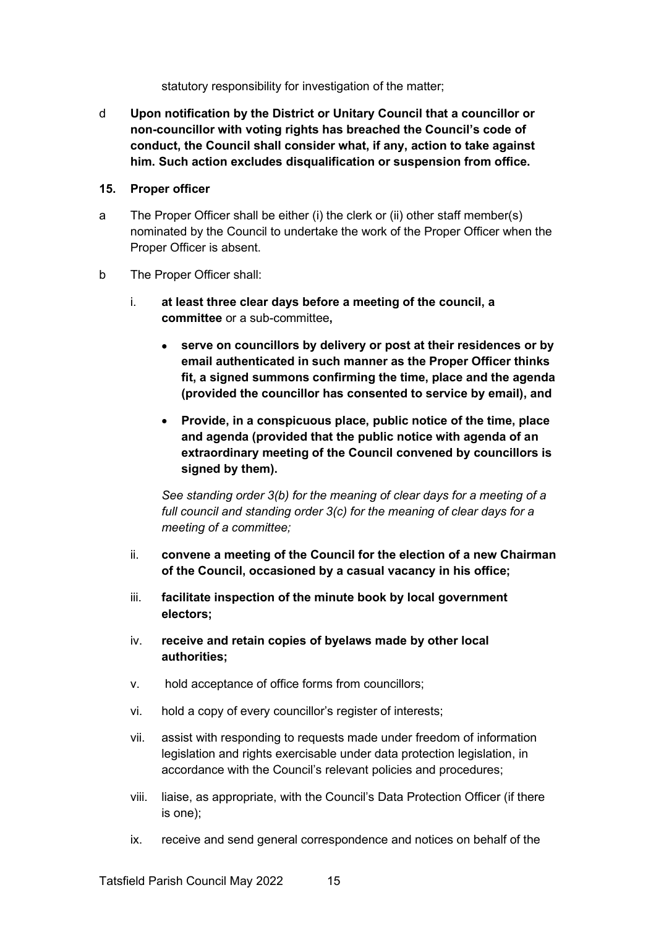statutory responsibility for investigation of the matter;

d **Upon notification by the District or Unitary Council that a councillor or non-councillor with voting rights has breached the Council's code of conduct, the Council shall consider what, if any, action to take against him. Such action excludes disqualification or suspension from office.**

#### **15. Proper officer**

- a The Proper Officer shall be either (i) the clerk or (ii) other staff member(s) nominated by the Council to undertake the work of the Proper Officer when the Proper Officer is absent.
- b The Proper Officer shall:
	- i. **at least three clear days before a meeting of the council, a committee** or a sub-committee**,**
		- **serve on councillors by delivery or post at their residences or by email authenticated in such manner as the Proper Officer thinks fit, a signed summons confirming the time, place and the agenda (provided the councillor has consented to service by email), and**
		- **Provide, in a conspicuous place, public notice of the time, place and agenda (provided that the public notice with agenda of an extraordinary meeting of the Council convened by councillors is signed by them).**

*See standing order 3(b) for the meaning of clear days for a meeting of a full council and standing order 3(c) for the meaning of clear days for a meeting of a committee;*

- ii. **convene a meeting of the Council for the election of a new Chairman of the Council, occasioned by a casual vacancy in his office;**
- iii. **facilitate inspection of the minute book by local government electors;**
- iv. **receive and retain copies of byelaws made by other local authorities;**
- v. hold acceptance of office forms from councillors;
- vi. hold a copy of every councillor's register of interests;
- vii. assist with responding to requests made under freedom of information legislation and rights exercisable under data protection legislation, in accordance with the Council's relevant policies and procedures;
- viii. liaise, as appropriate, with the Council's Data Protection Officer (if there is one);
- ix. receive and send general correspondence and notices on behalf of the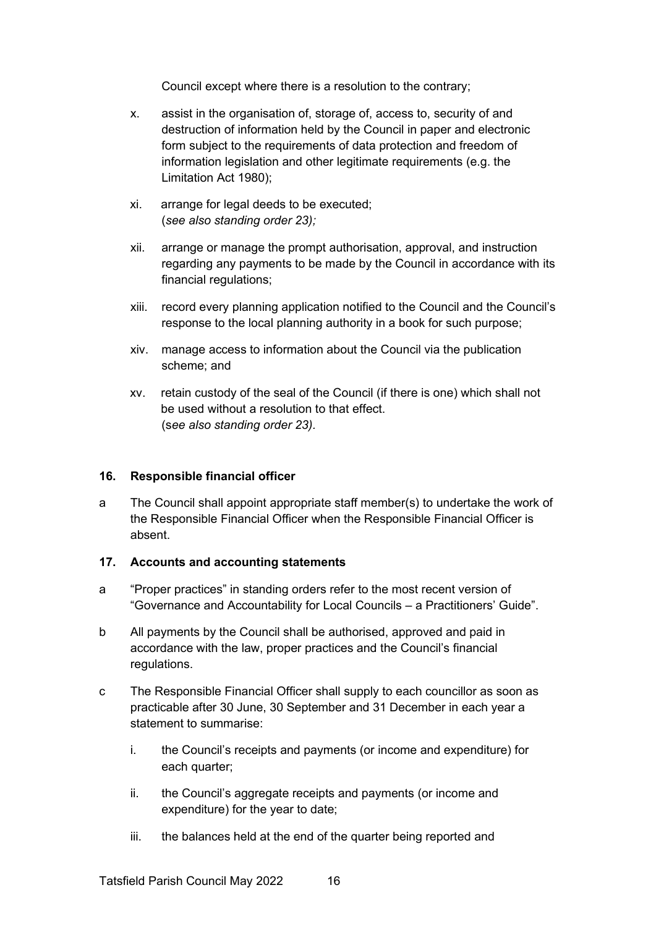Council except where there is a resolution to the contrary;

- x. assist in the organisation of, storage of, access to, security of and destruction of information held by the Council in paper and electronic form subject to the requirements of data protection and freedom of information legislation and other legitimate requirements (e.g. the Limitation Act 1980);
- xi. arrange for legal deeds to be executed; (*see also standing order 23);*
- xii. arrange or manage the prompt authorisation, approval, and instruction regarding any payments to be made by the Council in accordance with its financial regulations;
- xiii. record every planning application notified to the Council and the Council's response to the local planning authority in a book for such purpose;
- xiv. manage access to information about the Council via the publication scheme; and
- xv. retain custody of the seal of the Council (if there is one) which shall not be used without a resolution to that effect. (s*ee also standing order 23).*

#### **16. Responsible financial officer**

a The Council shall appoint appropriate staff member(s) to undertake the work of the Responsible Financial Officer when the Responsible Financial Officer is absent.

#### **17. Accounts and accounting statements**

- a "Proper practices" in standing orders refer to the most recent version of "Governance and Accountability for Local Councils – a Practitioners' Guide".
- b All payments by the Council shall be authorised, approved and paid in accordance with the law, proper practices and the Council's financial regulations.
- c The Responsible Financial Officer shall supply to each councillor as soon as practicable after 30 June, 30 September and 31 December in each year a statement to summarise:
	- i. the Council's receipts and payments (or income and expenditure) for each quarter;
	- ii. the Council's aggregate receipts and payments (or income and expenditure) for the year to date;
	- iii. the balances held at the end of the quarter being reported and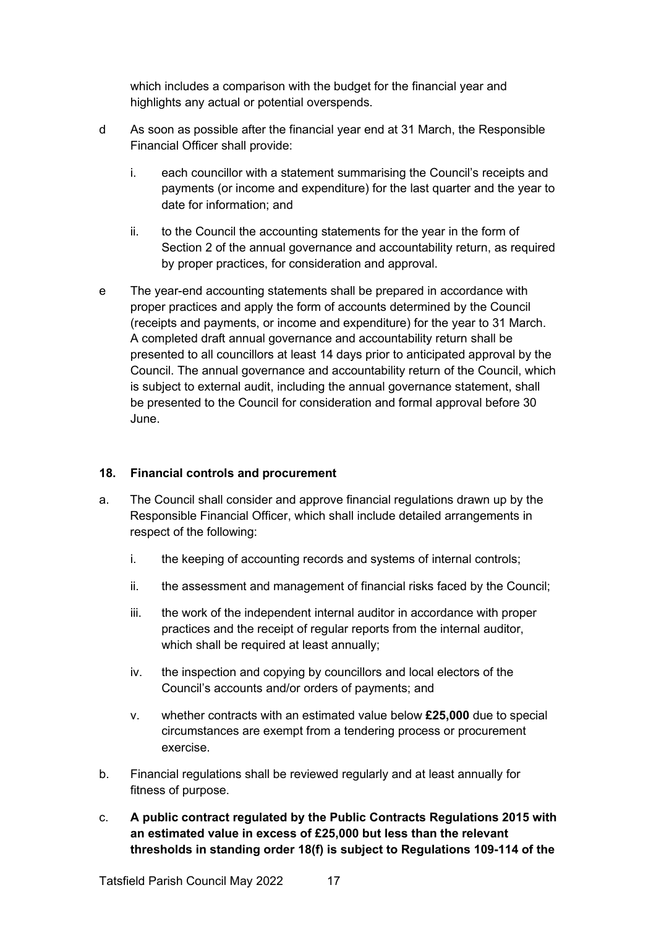which includes a comparison with the budget for the financial year and highlights any actual or potential overspends.

- d As soon as possible after the financial year end at 31 March, the Responsible Financial Officer shall provide:
	- i. each councillor with a statement summarising the Council's receipts and payments (or income and expenditure) for the last quarter and the year to date for information; and
	- ii. to the Council the accounting statements for the year in the form of Section 2 of the annual governance and accountability return, as required by proper practices, for consideration and approval.
- e The year-end accounting statements shall be prepared in accordance with proper practices and apply the form of accounts determined by the Council (receipts and payments, or income and expenditure) for the year to 31 March. A completed draft annual governance and accountability return shall be presented to all councillors at least 14 days prior to anticipated approval by the Council. The annual governance and accountability return of the Council, which is subject to external audit, including the annual governance statement, shall be presented to the Council for consideration and formal approval before 30 June.

#### **18. Financial controls and procurement**

- a. The Council shall consider and approve financial regulations drawn up by the Responsible Financial Officer, which shall include detailed arrangements in respect of the following:
	- i. the keeping of accounting records and systems of internal controls;
	- ii. the assessment and management of financial risks faced by the Council;
	- iii. the work of the independent internal auditor in accordance with proper practices and the receipt of regular reports from the internal auditor, which shall be required at least annually;
	- iv. the inspection and copying by councillors and local electors of the Council's accounts and/or orders of payments; and
	- v. whether contracts with an estimated value below **£25,000** due to special circumstances are exempt from a tendering process or procurement exercise.
- b. Financial regulations shall be reviewed regularly and at least annually for fitness of purpose.
- c. **A public contract regulated by the Public Contracts Regulations 2015 with an estimated value in excess of £25,000 but less than the relevant thresholds in standing order 18(f) is subject to Regulations 109-114 of the**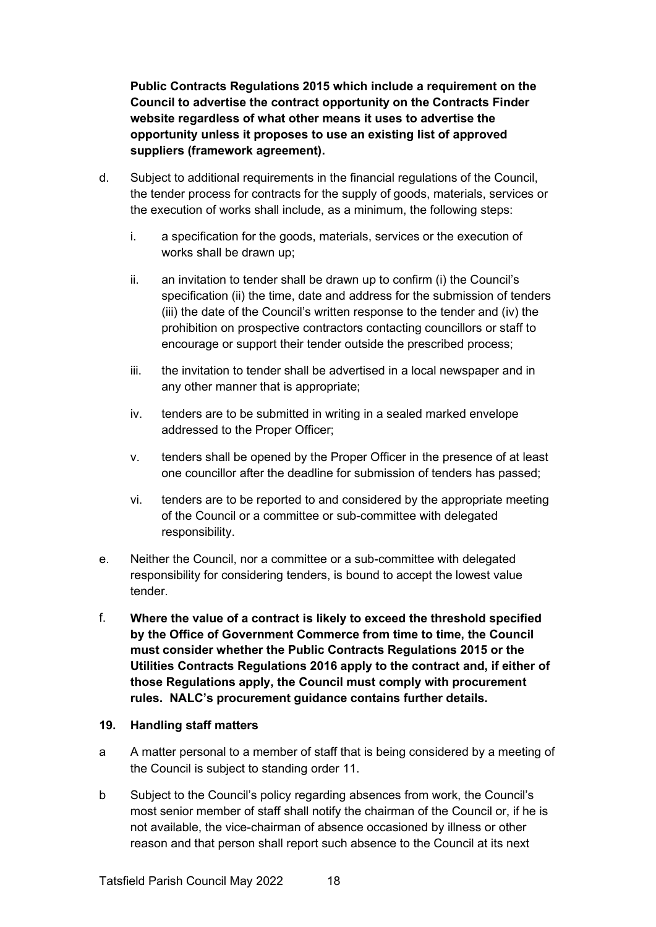**Public Contracts Regulations 2015 which include a requirement on the Council to advertise the contract opportunity on the Contracts Finder website regardless of what other means it uses to advertise the opportunity unless it proposes to use an existing list of approved suppliers (framework agreement).**

- d. Subject to additional requirements in the financial regulations of the Council, the tender process for contracts for the supply of goods, materials, services or the execution of works shall include, as a minimum, the following steps:
	- i. a specification for the goods, materials, services or the execution of works shall be drawn up;
	- ii. an invitation to tender shall be drawn up to confirm (i) the Council's specification (ii) the time, date and address for the submission of tenders (iii) the date of the Council's written response to the tender and (iv) the prohibition on prospective contractors contacting councillors or staff to encourage or support their tender outside the prescribed process;
	- iii. the invitation to tender shall be advertised in a local newspaper and in any other manner that is appropriate;
	- iv. tenders are to be submitted in writing in a sealed marked envelope addressed to the Proper Officer;
	- v. tenders shall be opened by the Proper Officer in the presence of at least one councillor after the deadline for submission of tenders has passed;
	- vi. tenders are to be reported to and considered by the appropriate meeting of the Council or a committee or sub-committee with delegated responsibility.
- e. Neither the Council, nor a committee or a sub-committee with delegated responsibility for considering tenders, is bound to accept the lowest value tender.
- f. **Where the value of a contract is likely to exceed the threshold specified by the Office of Government Commerce from time to time, the Council must consider whether the Public Contracts Regulations 2015 or the Utilities Contracts Regulations 2016 apply to the contract and, if either of those Regulations apply, the Council must comply with procurement rules. NALC's procurement guidance contains further details.**

#### **19. Handling staff matters**

- a A matter personal to a member of staff that is being considered by a meeting of the Council is subject to standing order 11.
- b Subject to the Council's policy regarding absences from work, the Council's most senior member of staff shall notify the chairman of the Council or, if he is not available, the vice-chairman of absence occasioned by illness or other reason and that person shall report such absence to the Council at its next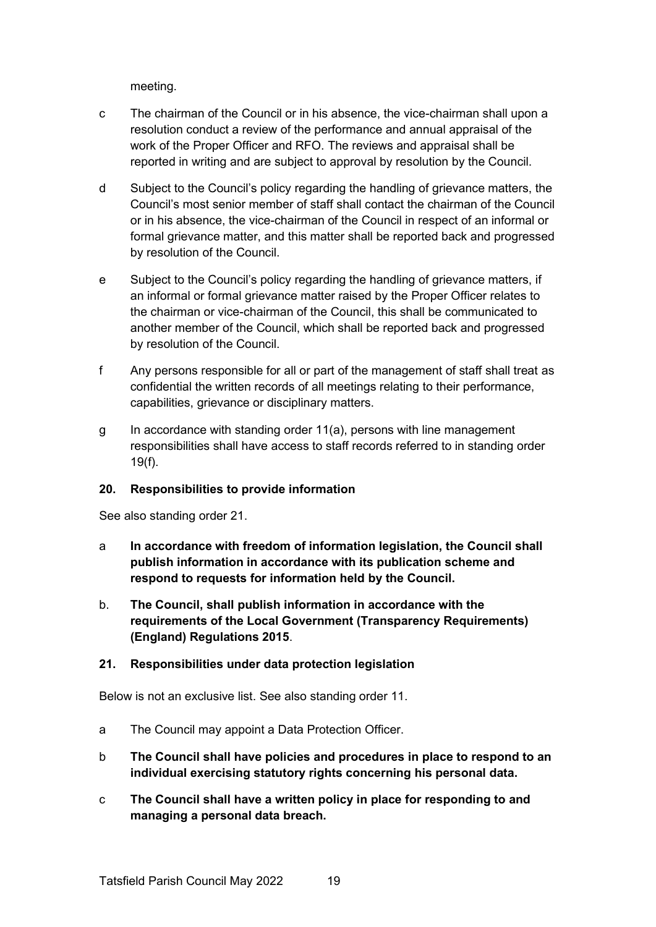meeting.

- c The chairman of the Council or in his absence, the vice-chairman shall upon a resolution conduct a review of the performance and annual appraisal of the work of the Proper Officer and RFO. The reviews and appraisal shall be reported in writing and are subject to approval by resolution by the Council.
- d Subject to the Council's policy regarding the handling of grievance matters, the Council's most senior member of staff shall contact the chairman of the Council or in his absence, the vice-chairman of the Council in respect of an informal or formal grievance matter, and this matter shall be reported back and progressed by resolution of the Council.
- e Subject to the Council's policy regarding the handling of grievance matters, if an informal or formal grievance matter raised by the Proper Officer relates to the chairman or vice-chairman of the Council, this shall be communicated to another member of the Council, which shall be reported back and progressed by resolution of the Council.
- f Any persons responsible for all or part of the management of staff shall treat as confidential the written records of all meetings relating to their performance, capabilities, grievance or disciplinary matters.
- g In accordance with standing order 11(a), persons with line management responsibilities shall have access to staff records referred to in standing order 19(f).

# **20. Responsibilities to provide information**

See also standing order 21.

- a **In accordance with freedom of information legislation, the Council shall publish information in accordance with its publication scheme and respond to requests for information held by the Council.**
- b. **The Council, shall publish information in accordance with the requirements of the Local Government (Transparency Requirements) (England) Regulations 2015**.

#### **21. Responsibilities under data protection legislation**

Below is not an exclusive list. See also standing order 11.

- a The Council may appoint a Data Protection Officer.
- b **The Council shall have policies and procedures in place to respond to an individual exercising statutory rights concerning his personal data.**
- c **The Council shall have a written policy in place for responding to and managing a personal data breach.**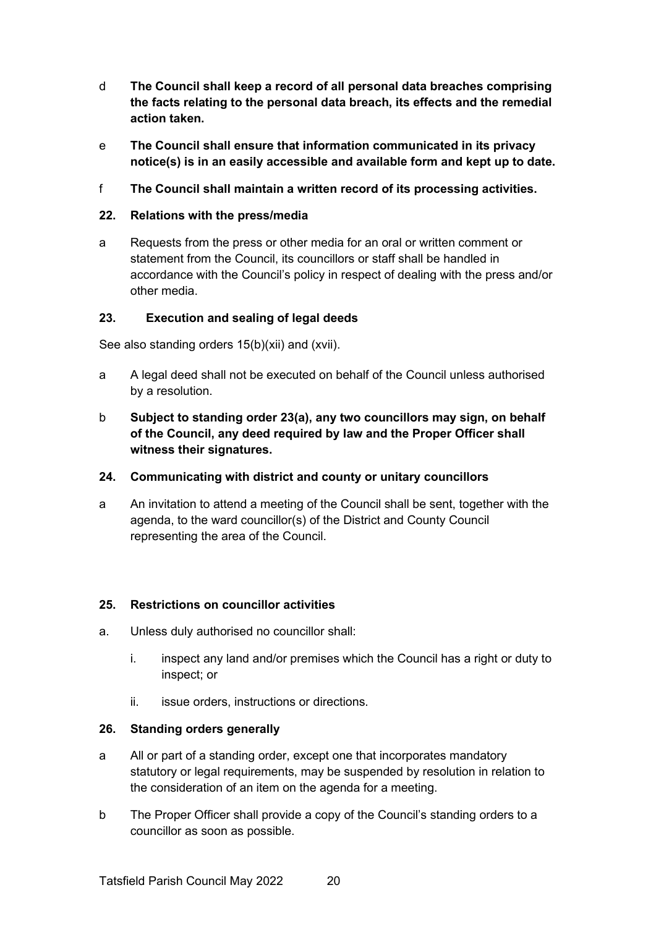- d **The Council shall keep a record of all personal data breaches comprising the facts relating to the personal data breach, its effects and the remedial action taken.**
- e **The Council shall ensure that information communicated in its privacy notice(s) is in an easily accessible and available form and kept up to date.**
- f **The Council shall maintain a written record of its processing activities.**

# **22. Relations with the press/media**

a Requests from the press or other media for an oral or written comment or statement from the Council, its councillors or staff shall be handled in accordance with the Council's policy in respect of dealing with the press and/or other media.

# **23. Execution and sealing of legal deeds**

See also standing orders 15(b)(xii) and (xvii).

- a A legal deed shall not be executed on behalf of the Council unless authorised by a resolution.
- b **Subject to standing order 23(a), any two councillors may sign, on behalf of the Council, any deed required by law and the Proper Officer shall witness their signatures.**

# **24. Communicating with district and county or unitary councillors**

a An invitation to attend a meeting of the Council shall be sent, together with the agenda, to the ward councillor(s) of the District and County Council representing the area of the Council.

# **25. Restrictions on councillor activities**

- a. Unless duly authorised no councillor shall:
	- i. inspect any land and/or premises which the Council has a right or duty to inspect; or
	- ii. issue orders, instructions or directions.

# **26. Standing orders generally**

- a All or part of a standing order, except one that incorporates mandatory statutory or legal requirements, may be suspended by resolution in relation to the consideration of an item on the agenda for a meeting.
- b The Proper Officer shall provide a copy of the Council's standing orders to a councillor as soon as possible.